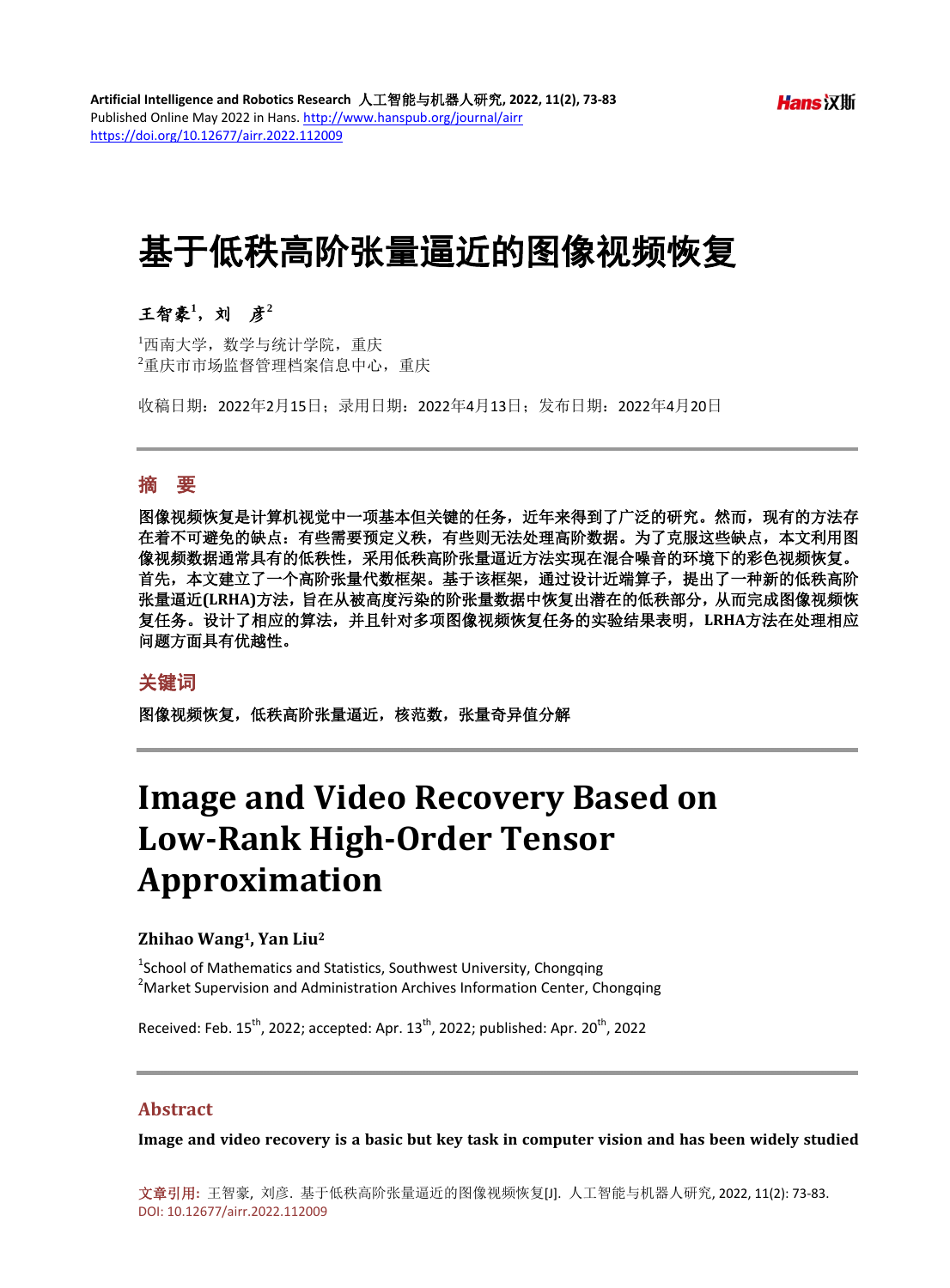# 基于低秩高阶张量逼近的图像视频恢复

# 王智豪**<sup>1</sup>** ,刘彦**<sup>2</sup>**

1 西南大学,数学与统计学院,重庆 2 重庆市市场监督管理档案信息中心,重庆

收稿日期:2022年2月15日;录用日期:2022年4月13日;发布日期:2022年4月20日

#### 摘 要

图像视频恢复是计算机视觉中一项基本但关键的任务,近年来得到了广泛的研究。然而,现有的方法存 在着不可避免的缺点:有些需要预定义秩,有些则无法处理高阶数据。为了克服这些缺点,本文利用图 像视频数据通常具有的低秩性,采用低秩高阶张量逼近方法实现在混合噪音的环境下的彩色视频恢复。 首先,本文建立了一个高阶张量代数框架。基于该框架,通过设计近端算子,提出了一种新的低秩高阶 张量逼近**(LRHA)**方法,旨在从被高度污染的阶张量数据中恢复出潜在的低秩部分,从而完成图像视频恢 复任务。设计了相应的算法,并且针对多项图像视频恢复任务的实验结果表明,**LRHA**方法在处理相应 问题方面具有优越性。

### 关键词

图像视频恢复,低秩高阶张量逼近,核范数,张量奇异值分解

# **Image and Video Recovery Based on Low-Rank High-Order Tensor Approximation**

#### **Zhihao Wang1, Yan Liu2**

<sup>1</sup>School of Mathematics and Statistics, Southwest University, Chongqing <sup>2</sup>Market Supervision and Administration Archives Information Center, Chongqing

Received: Feb.  $15^{th}$ , 2022; accepted: Apr.  $13^{th}$ , 2022; published: Apr.  $20^{th}$ , 2022

#### **Abstract**

**Image and video recovery is a basic but key task in computer vision and has been widely studied** 

文章引用**:** 王智豪, 刘彦. 基于低秩高阶张量逼近的图像视频恢复[J]. 人工智能与机器人研究, 2022, 11(2): 73-83. DOI: [10.12677/airr.2022.112009](https://doi.org/10.12677/airr.2022.112009)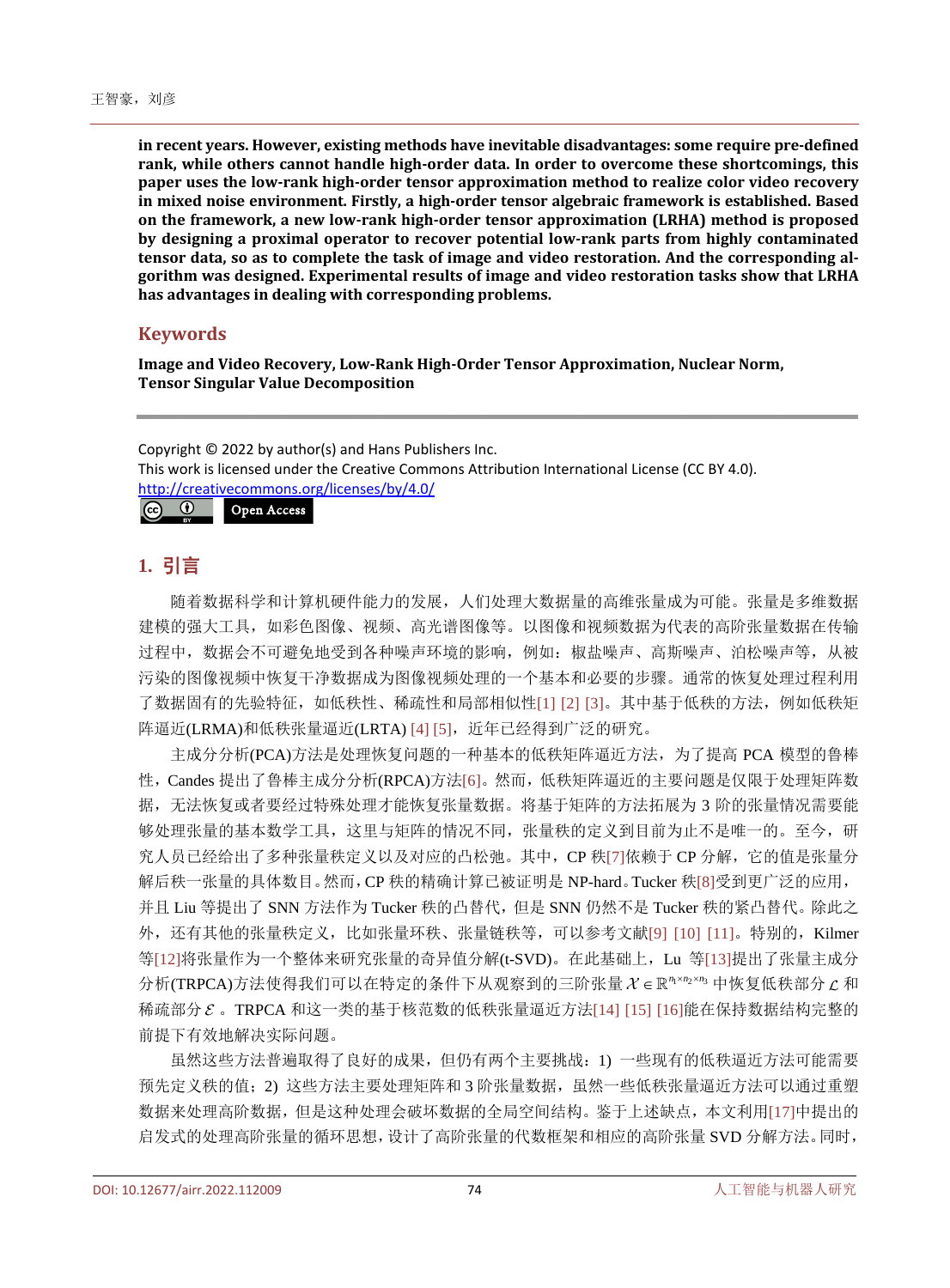**in recent years. However, existing methods have inevitable disadvantages: some require pre-defined rank, while others cannot handle high-order data. In order to overcome these shortcomings, this paper uses the low-rank high-order tensor approximation method to realize color video recovery in mixed noise environment. Firstly, a high-order tensor algebraic framework is established. Based on the framework, a new low-rank high-order tensor approximation (LRHA) method is proposed by designing a proximal operator to recover potential low-rank parts from highly contaminated tensor data, so as to complete the task of image and video restoration. And the corresponding algorithm was designed. Experimental results of image and video restoration tasks show that LRHA has advantages in dealing with corresponding problems.**

## **Keywords**

**Image and Video Recovery, Low-Rank High-Order Tensor Approximation, Nuclear Norm, Tensor Singular Value Decomposition**

Copyright © 2022 by author(s) and Hans Publishers Inc. This work is licensed under the Creative Commons Attribution International License (CC BY 4.0). <http://creativecommons.org/licenses/by/4.0/>  $\boxed{6}$   $\boxed{0}$ Open Access

# **1.** 引言

随着数据科学和计算机硬件能力的发展,人们处理大数据量的高维张量成为可能。张量是多维数据 建模的强大工具,如彩色图像、视频、高光谱图像等。以图像和视频数据为代表的高阶张量数据在传输 过程中,数据会不可避免地受到各种噪声环境的影响,例如:椒盐噪声、高斯噪声、泊松噪声等,从被 污染的图像视频中恢复干净数据成为图像视频处理的一个基本和必要的步骤。通常的恢复处理过程利用 了数据固有的先验特征,如低秩性、稀疏性和局部相似性[\[1\]](#page-9-0) [\[2\]](#page-9-1) [\[3\]](#page-10-0)。其中基于低秩的方法,例如低秩矩 阵逼近(LRMA)和低秩张量逼近(LRTA) [\[4\]](#page-10-1) [\[5\]](#page-10-2), 近年已经得到广泛的研究。

主成分分析(PCA)方法是处理恢复问题的一种基本的低秩矩阵逼近方法,为了提高 PCA 模型的鲁棒 性,Candes 提出了鲁棒主成分分析(RPCA)方法[\[6\]](#page-10-3)。然而,低秩矩阵逼近的主要问题是仅限于处理矩阵数 据,无法恢复或者要经过特殊处理才能恢复张量数据。将基于矩阵的方法拓展为 3 阶的张量情况需要能 够处理张量的基本数学工具,这里与矩阵的情况不同,张量秩的定义到目前为止不是唯一的。至今,研 究人员已经给出了多种张量秩定义以及对应的凸松弛。其中, CP 秩[\[7\]](#page-10-4)依赖于 CP 分解, 它的值是张量分 解后秩一张量的具体数目。然而,CP 秩的精确计算已被证明是 NP-hard。Tucker 秩[\[8\]](#page-10-5)受到更广泛的应用, 并且 Liu 等提出了 SNN 方法作为 Tucker 秩的凸替代, 但是 SNN 仍然不是 Tucker 秩的紧凸替代。除此之 外,还有其他的张量秩定义,比如张量环秩、张量链秩等,可以参考文献[\[9\]](#page-10-6) [\[10\]](#page-10-7) [\[11\]](#page-10-8)。特别的, Kilmer 等[\[12\]](#page-10-9)将张量作为一个整体来研究张量的奇异值分解(t-SVD)。在此基础上,Lu 等[\[13\]](#page-10-10)提出了张量主成分 分析(TRPCA)方法使得我们可以在特定的条件下从观察到的三阶张量 <sup>123</sup> *nn n* × × ∈ 中恢复低秩部分 和 稀疏部分  $\varepsilon$ 。TRPCA 和这一类的基于核范数的低秩张量逼近方法[\[14\]](#page-10-11) [\[15\]](#page-10-12) [\[16\]](#page-10-13)能在保持数据结构完整的 前提下有效地解决实际问题。

虽然这些方法普遍取得了良好的成果,但仍有两个主要挑战:1) 一些现有的低秩逼近方法可能需要 预先定义秩的值;2) 这些方法主要处理矩阵和 3 阶张量数据, 虽然一些低秩张量逼近方法可以通过重塑 数据来处理高阶数据,但是这种处理会破坏数据的全局空间结构。鉴于上述缺点,本文利用[\[17\]](#page-10-14)中提出的 启发式的处理高阶张量的循环思想,设计了高阶张量的代数框架和相应的高阶张量 SVD 分解方法。同时,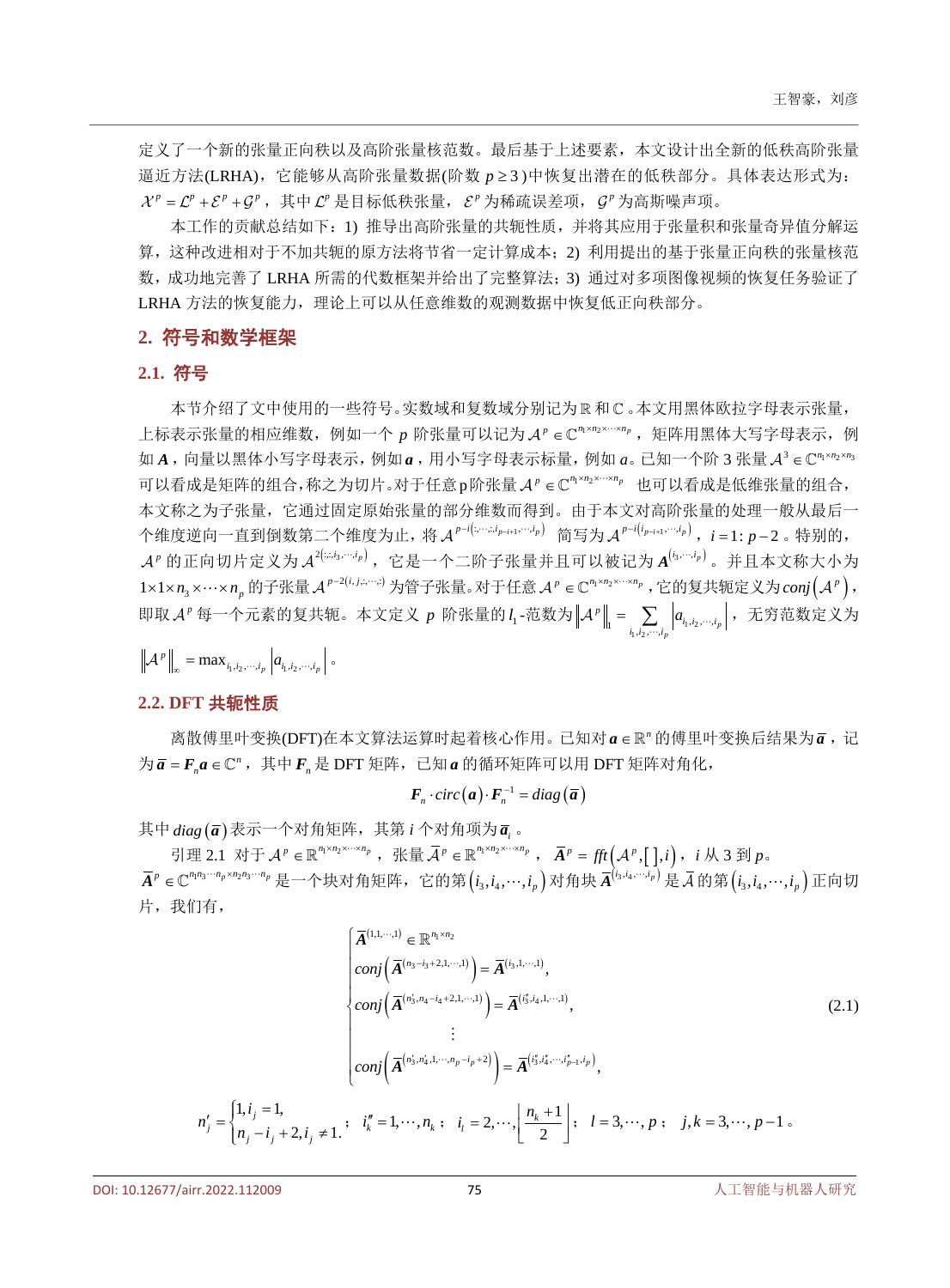定义了一个新的张量正向秩以及高阶张量核范数。最后基于上述要素,本文设计出全新的低秩高阶张量 逼近方法(LRHA),它能够从高阶张量数据(阶数 *p* ≥ 3 )中恢复出潜在的低秩部分。具体表达形式为:  $\mathcal{X}^p = \mathcal{L}^p + \mathcal{E}^p + G^p$ , 其中 $\mathcal{L}^p$ 是目标低秩张量,  $\mathcal{E}^p$  为稀疏误差项,  $G^p$  为高斯噪声项。

本工作的贡献总结如下:1) 推导出高阶张量的共轭性质,并将其应用于张量积和张量奇异值分解运 算,这种改进相对于不加共轭的原方法将节省一定计算成本;2) 利用提出的基于张量正向秩的张量核范 数,成功地完善了 LRHA 所需的代数框架并给出了完整算法;3) 通过对多项图像视频的恢复任务验证了 LRHA 方法的恢复能力, 理论上可以从任意维数的观测数据中恢复低正向秩部分。

#### **2.** 符号和数学框架

# **2.1.** 符号

本节介绍了文中使用的一些符号。实数域和复数域分别记为 R 和 C 。本文用黑体欧拉字母表示张量, 上标表示张量的相应维数,例如一个 p 阶张量可以记为 A<sup>p</sup> ∈ C<sup>m ×n2×…×n</sup>p, 矩阵用黑体大写字母表示, 例 如 *A*, 向量以黑体小写字母表示, 例如 *a*, 用小写字母表示标量, 例如 *a*。已知一个阶 3 张量 *A*<sup>3</sup> ∈ C<sup>m×m2×m3</sup> 可以看成是矩阵的组合,称之为切片。对于任意p阶张量 A<sup>p</sup> ∈ C<sup>n</sup>1×n2×…×np 也可以看成是低维张量的组合, 本文称之为子张量,它通过固定原始张量的部分维数而得到。由于本文对高阶张量的处理一般从最后一 个维度逆向一直到倒数第二个维度为止,将 *A<sup>p-i(:,…;,i<sub>p-i+1</sub>,…;i<sub>p</sub>)* 简写为 *A<sup>p-i(i<sub>p-i+1</sub>,…;i<sub>p</sub>)*, *i* = 1: *p*-2。特别的,</sup></sup>  $\mathcal{A}^p$  的正向切片定义为 $\mathcal{A}^{2(\mathit{z},i_3,\cdots,i_p)}$ ,它是一个二阶子张量并且可以被记为 $\mathcal{A}^{(i_3,\cdots,i_p)}$ 。并且本文称大小为 1×1×n<sub>3</sub>×…×n<sub>n</sub> 的子张量 *A*<sup>*r*-2(*i, j.*;...;) 为管子张量。对于任意 *A*<sup>*r*</sup> ∈ C<sup>n</sup>1×n<sub>2</sub>×…×n<sub>p</sub></sup>, 它的复共轭定义为 conj(*A*<sup>*p*</sup>)</sub>, 即取 A<sup>n</sup> 每一个元素的复共轭。本文定义 p 阶张量的 l<sub>1</sub>-范数为 $\left\|{\cal A}^{\scriptscriptstyle P}\right\|_{\scriptscriptstyle \rm I} = \sum\limits_{i_1,i_2,\cdots,i_p} \left|a_{i_1,i_2,\cdots,i_p}\right|$  $\|p\|_1 = \sum_{i_1, i_2, \cdots, i_p} |a_{i_1, i_2, \cdots, i_p}|$  $\mathcal{A}^p \Vert = \sum \ \vert a_{_{i_1,i_2,\cdots,i_p}} \vert$ ,无穷范数定义为

$$
\left\|\mathcal{A}^p\right\|_{\infty} = \max_{i_1,i_2,\cdots,i_p} \left| a_{i_1,i_2,\cdots,i_p} \right| \circ
$$

## **2.2. DFT** 共轭性质

离散傅里叶变换(DFT)在本文算法运算时起着核心作用。已知对 a ∈ R" 的傅里叶变换后结果为 a, 记  $\forall \bar{a} = F_{n} a \in \mathbb{C}^{n}$ , 其中 $F_{n} \not\equiv$  DFT 矩阵, 已知 *a* 的循环矩阵可以用 DFT 矩阵对角化,

 $\boldsymbol{F}_n \cdot \textit{circ}(\boldsymbol{a}) \cdot \boldsymbol{F}_n^{-1} = \textit{diag}\left(\boldsymbol{\overline{a}}\right)$ 

其中 *diag* ( $\overline{a}$ ) 表示一个对角矩阵, 其第 *i* 个对角项为 $\overline{a}$ , 。

引理 2.1 对于  $\mathcal{A}^p \in \mathbb{R}^{n_1 \times n_2 \times \cdots \times n_p}$ , 张量  $\overline{\mathcal{A}}^p \in \mathbb{R}^{n_1 \times n_2 \times \cdots \times n_p}$ ,  $\overline{A}^p = \text{fft}(\mathcal{A}^p, [0, i], i)$ ,  $i \not\rightarrow$  3 到  $p \circ$  $\overline{A}^{\,p} \in \mathbb{C}^{n_1n_3 \cdots n_p \times n_2n_3 \cdots n_p}$ 是一个块对角矩阵,它的第 $\left(i_3,i_4,\cdots,i_p\right)$ 对角块 $\overline{A}^{\left(i_3,i_4,\cdots,i_p\right)}$ 是 $\overline{\mathcal{A}}$ 的第 $\left(i_3,i_4,\cdots,i_p\right)$ 正向切 片,我们有,

$$
\begin{cases}\n\overline{A}^{(1,1,\cdots,1)} \in \mathbb{R}^{n_1 \times n_2} \\
\text{conj}\left(\overline{A}^{(n_3-i_3+2,1,\cdots,1)}\right) = \overline{A}^{(i_3,1,\cdots,1)}, \\
\text{conj}\left(\overline{A}^{(n'_3,n_4-i_4+2,1,\cdots,1)}\right) = \overline{A}^{(i'_3,i_4,1,\cdots,1)}, \\
\vdots \\
\text{conj}\left(\overline{A}^{(n'_3,n'_4,1,\cdots,n_p-i_p+2)}\right) = \overline{A}^{(i'_3,i'_4,\cdots,i'_{p-1},i_p)}, \\
n'_j = \begin{cases}\n1, i_j = 1, & i'_k = 1, \cdots, n_k; \quad i_l = 2, \cdots, \left\lfloor \frac{n_k+1}{2} \right\rfloor; \quad l = 3, \cdots, p; \quad j, k = 3, \cdots, p-1.\n\end{cases} (2.1)
$$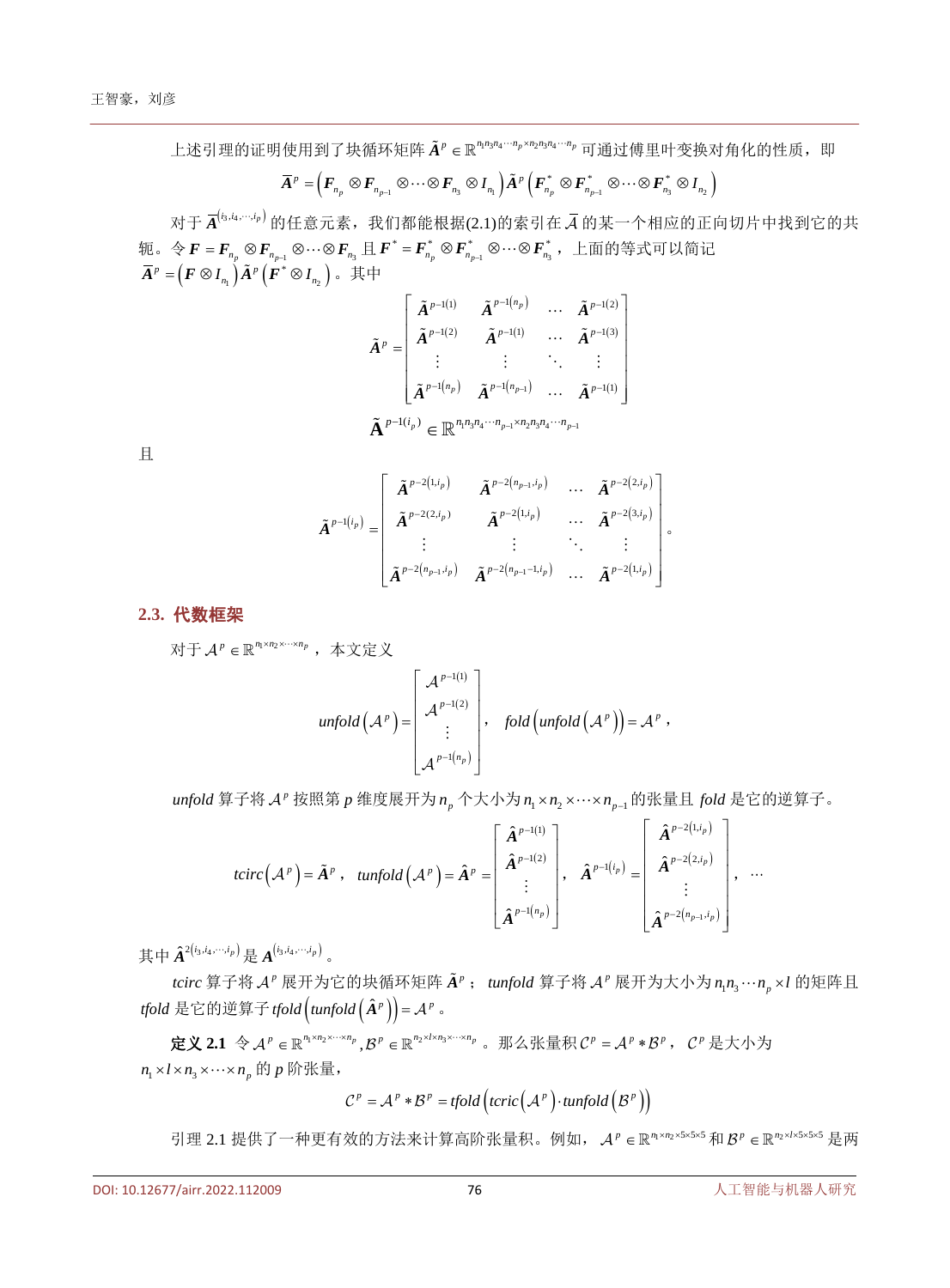上述引理的证明使用到了块循环矩阵  $\tilde{A}^p$  ∈ ℝ<sup>ηη</sup>3η4<sup>… η</sup> ρ×η2η3η4<sup>… η</sup> 可通过傅里叶变换对角化的性质, 即

$$
\bar{A}^{\,p}=\Bigr(F_{n_{p}}\otimes F_{n_{p-1}}\otimes\cdots\otimes F_{n_{3}}\otimes I_{n_{1}}\Bigr)\tilde{A}^{\,p}\,\Bigl(F_{n_{p}}^*\otimes F_{n_{p-1}}^*\otimes\cdots\otimes F_{n_{3}}^*\otimes I_{n_{2}}\Bigr)
$$

对于 $\left.\overline{A}^{l_3,i_4,\cdots,i_p)}\right.$ 的任意元素,我们都能根据(2.1)的索引在 $\bar{\cal A}$  的某一个相应的正向切片中找到它的共 轭。令*F = F<sub>np</sub> ⊗ F<sub>np-1</sub> ⊗…⊗ F<sub>n3</sub> 且 F \* = F<sub>np</sub> ⊗ Fn<sub>np-1</sub> ⊗…⊗ Fng,上面的等式可以简记*  $\bm{\bar{A}}^p = \left( \bm{F} \otimes \bm{I}_{_{n_1}} \right) \bm{\tilde{A}}^p \left( \bm{F}^* \otimes \bm{I}_{_{n_2}} \right)$ 。其中

$$
\tilde{A}^{p} = \begin{bmatrix}\n\tilde{A}^{p-1(1)} & \tilde{A}^{p-1(n_p)} & \cdots & \tilde{A}^{p-1(2)} \\
\tilde{A}^{p-1(2)} & \tilde{A}^{p-1(1)} & \cdots & \tilde{A}^{p-1(3)} \\
\vdots & \vdots & \ddots & \vdots \\
\tilde{A}^{p-1(n_p)} & \tilde{A}^{p-1(n_{p-1})} & \cdots & \tilde{A}^{p-1(1)}\n\end{bmatrix}
$$
\n
$$
\tilde{A}^{p-1(i_p)} \in \mathbb{R}^{n_1 n_3 n_4 \cdots n_{p-1} \times n_2 n_3 n_4 \cdots n_{p-1}}
$$

且

$$
\tilde{\boldsymbol{A}}^{p-1(i_p)} = \begin{bmatrix}\n\tilde{\boldsymbol{A}}^{p-2(1,i_p)} & \tilde{\boldsymbol{A}}^{p-2(n_{p-1},i_p)} & \cdots & \tilde{\boldsymbol{A}}^{p-2(2,i_p)} \\
\tilde{\boldsymbol{A}}^{p-2(2,i_p)} & \tilde{\boldsymbol{A}}^{p-2(1,i_p)} & \cdots & \tilde{\boldsymbol{A}}^{p-2(3,i_p)} \\
\vdots & \vdots & \ddots & \vdots \\
\tilde{\boldsymbol{A}}^{p-2(n_{p-1},i_p)} & \tilde{\boldsymbol{A}}^{p-2(n_{p-1}-1,i_p)} & \cdots & \tilde{\boldsymbol{A}}^{p-2(1,i_p)}\n\end{bmatrix}^{\circ}
$$

#### **2.3.** 代数框架

对于  $\mathcal{A}^p$  ∈  $\mathbb{R}^{n_1 \times n_2 \times \cdots \times n_p}$ , 本文定义

$$
unfold(\mathcal{A}^p) = \begin{bmatrix} \mathcal{A}^{p-1(1)} \\ \mathcal{A}^{p-1(2)} \\ \vdots \\ \mathcal{A}^{p-1(n_p)} \end{bmatrix}, \quad fold\left(unfold(\mathcal{A}^p)\right) = \mathcal{A}^p,
$$

*unfold* 算子将 *A*<sup>*r*</sup> 按照第 *p* 维度展开为 *n*<sub>*n*</sub> 个大小为 *n*<sub>1</sub>× *n*<sub>2</sub>×…× *n*<sub>n-1</sub> 的张量且 *fold* 是它的逆算子。

$$
tcirc(\mathcal{A}^p) = \tilde{A}^p , \quad tunfold(\mathcal{A}^p) = \hat{A}^p = \begin{bmatrix} \hat{A}^{p-1(1)} \\ \hat{A}^{p-1(2)} \\ \vdots \\ \hat{A}^{p-1(n_p)} \end{bmatrix}, \quad \hat{A}^{p-1(i_p)} = \begin{bmatrix} \hat{A}^{p-2(1,i_p)} \\ \hat{A}^{p-2(2,i_p)} \\ \vdots \\ \hat{A}^{p-2(n_{p-1},i_p)} \end{bmatrix}, \quad \dots
$$

其中 $\hat{A}^{2\left(i_3,i_4,...,i_p\right)}$ 是 $A^{\left(i_3,i_4,...,i_p\right)}$ 。

*tcirc* 算子将 *A*<sup>*r*</sup> 展开为它的块循环矩阵  $\tilde{A}^p$ ; tunfold 算子将 *A*<sup>*r*</sup> 展开为大小为  $n_1 n_3 \cdots n_p \times l$  的矩阵且 *tfold* 是它的逆算子 *tfold*  $(t$ *unfold*  $(\hat{A}^p)) = A^p$  。

定义 2.1 令  $\mathcal{A}^p$  ∈ ℝ<sup>η</sup><sup>xn<sub>2</sub>x…xn</sup><sub>p</sub></sub>,  $\mathcal{B}^p$  ∈ ℝ<sup>n</sup><sub>2</sub>xlxn<sub>3</sub>x…xn<sub>p</sub></sub> 。 那么张量积  $\mathcal{C}^p = \mathcal{A}^p * \mathcal{B}^p$ ,  $\mathcal{C}^p$  是大小为  $n_1 \times l \times n_2 \times \cdots \times n_n$  的 p 阶张量,

$$
C^p = A^p * B^p = \text{tfold}\left(\text{teric}\left(A^p\right) \cdot \text{tunfold}\left(B^p\right)\right)
$$

引理 2.1 提供了一种更有效的方法来计算高阶张量积。例如, A<sup>p</sup> ∈ ℝ"1×n2×5×5×5 和 B<sup>p</sup> ∈ ℝ"2×l×5×5×5 是两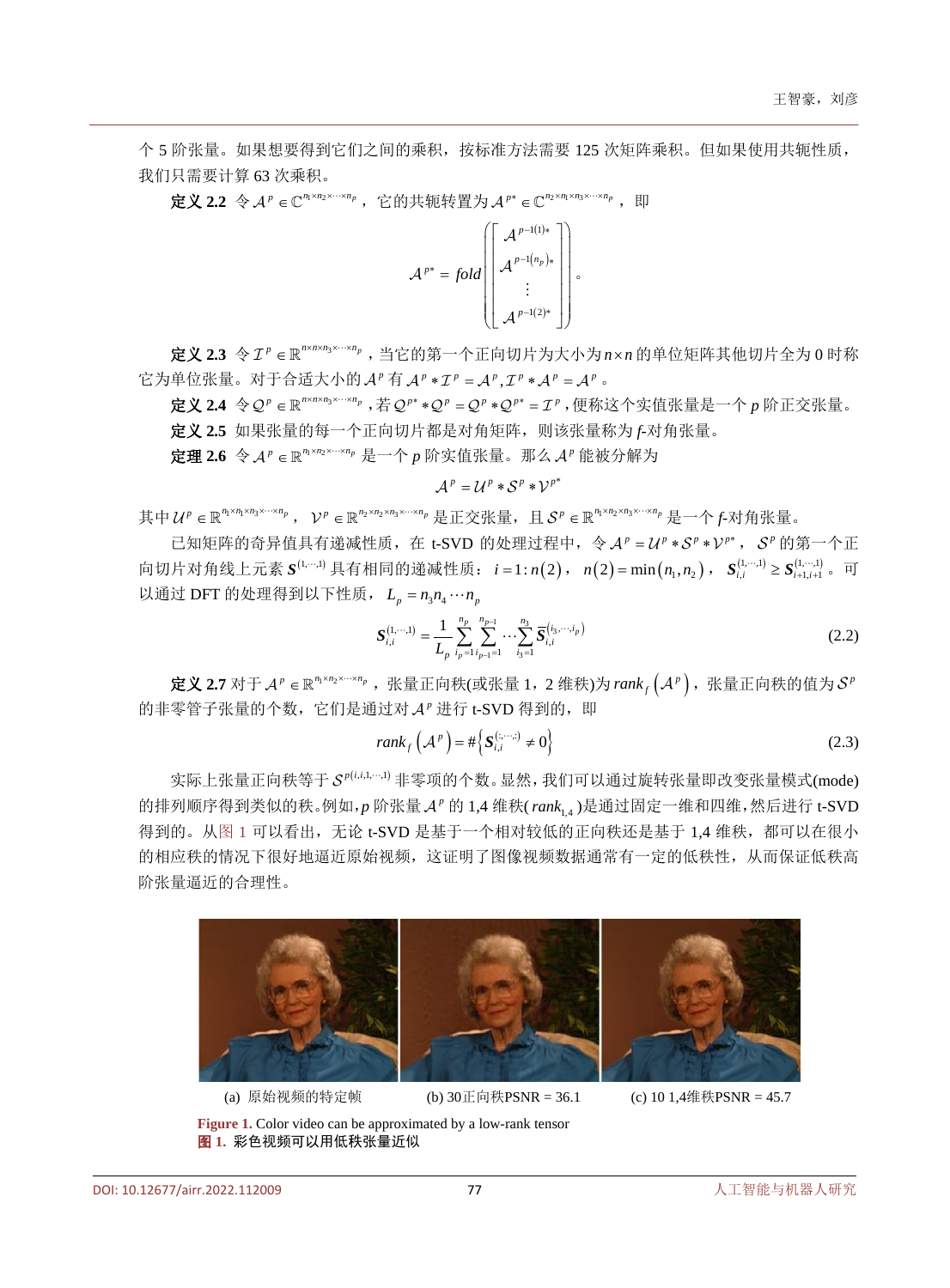个 5 阶张量。如果想要得到它们之间的乘积,按标准方法需要 125 次矩阵乘积。但如果使用共轭性质, 我们只需要计算 63 次乘积。

定义 2.2 令  $A^p$  ∈  $\mathbb{C}^{n_1 \times n_2 \times \cdots \times n_p}$ , 它的共轭转置为  $A^{p^*}$  ∈  $\mathbb{C}^{n_2 \times n_1 \times n_2 \times \cdots \times n_p}$ , 即

$$
\mathcal{A}^{p*} = fold \left[\begin{bmatrix} \mathcal{A}^{p-1(1)*} \\ \mathcal{A}^{p-1(n_p)*} \\ \vdots \\ \mathcal{A}^{p-1(2)*} \end{bmatrix}\right],
$$

定义 **2.3** 令 <sup>3</sup> *<sup>p</sup> <sup>p</sup> nnn n* ×× × × ∈ ,当它的第一个正向切片为大小为 *n n* × 的单位矩阵其他切片全为 0 时称 它为单位张量。对于合适大小的 *A<sup>p</sup>* 有 *A<sup>p</sup>* ∗ *I<sup>p</sup>* = *A<sup>p</sup>* , *I<sup>p</sup>* \* *A<sup>p</sup>* = *A<sup>p</sup>* 。

定义 2.4 令 Q<sup>p</sup> ∈ ℝ<sup>n×n×n3×…×n</sup>p, 若 Q<sup>p</sup> \* + Q<sup>p</sup> = Q<sup>p</sup> \* Q<sup>p\*</sup> = *T*<sup>p</sup>, 便称这个实值张量是一个 p 阶正交张量。 定义 **2.5** 如果张量的每一个正向切片都是对角矩阵,则该张量称为 *f*-对角张量。

定理 2.6 令  $A^p$  ∈  $\mathbb{R}^{n_1 \times n_2 \times \cdots \times n_p}$  是一个 p 阶实值张量。那么  $A^p$  能被分解为

$$
\mathcal{A}^p = \mathcal{U}^p * \mathcal{S}^p * \mathcal{V}^{p^*}
$$

其中  $U^p \in \mathbb{R}^{n_1 \times n_1 \times n_3 \times \cdots \times n_p}$ ,  $V^p \in \mathbb{R}^{n_2 \times n_2 \times n_3 \times \cdots \times n_p}$ 是元交张量, 且 $S^p \in \mathbb{R}^{n_1 \times n_2 \times n_3 \times \cdots \times n_p}$ 是一个*f*-对角张量。

已知矩阵的奇异值具有递减性质,在 t-SVD 的处理过程中, 令 A<sup>p</sup> = U<sup>p</sup> \* S<sup>p</sup> \* V<sup>p\*</sup>, S<sup>p</sup> 的第一个正 向切片对角线上元素  $S^{(1,\cdots,1)}$ 具有相同的递减性质: *i* = 1: n(2), n(2) = min(n<sub>1</sub>,n<sub>2</sub>),  $S^{(1,\cdots,1)}_{i,i}\geq S^{(1,\cdots,1)}_{i+1,i+1}$ 。可 以通过 DFT 的处理得到以下性质,  $L_n = n_1 n_2 \cdots n_n$ 

$$
\mathbf{S}_{i,i}^{(1,\cdots,1)} = \frac{1}{L_p} \sum_{i_p=1}^{n_p} \sum_{i_{p-1}=1}^{n_{p-1}} \cdots \sum_{i_3=1}^{n_3} \overline{\mathbf{S}}_{i,i}^{(i_3,\cdots,i_p)} \tag{2.2}
$$

定义 2.7 对于 A<sup>p</sup> ∈ ℝ"'<sup>xn</sup>2<sup>x…×n</sup>'', 张量正向秩(或张量 1,2 维秩)为 rank<sub>f</sub> (A<sup>p</sup>),张量正向秩的值为 S<sup>p</sup> 的非零管子张量的个数,它们是通过对 A<sup>p</sup> 进行 t-SVD 得到的, 即

$$
rank_f(\mathcal{A}^p) = \#\Big\{S_{i,i}^{(\ldots,\ldots)} \neq 0\Big\}
$$
 (2.3)

实际上张量正向秩等于  $\mathcal{S}^{p(i,i,\cdots,l)}$  非零项的个数。显然, 我们可以通过旋转张量即改变张量模式(mode) 的排列顺序得到类似的秩。例如,p 阶张量 A<sup>p</sup> 的 1.4 维秩(rank, )是通过固定一维和四维,然后进行 t-SVD 得到的。[从图](#page-4-0) 1 可以看出,无论 t-SVD 是基于一个相对较低的正向秩还是基于 1,4 维秩,都可以在很小 的相应秩的情况下很好地逼近原始视频,这证明了图像视频数据通常有一定的低秩性,从而保证低秩高 阶张量逼近的合理性。

<span id="page-4-0"></span>

(a) 原始视频的特定帧 (b) 30正向秩PSNR = 36.1 (c) 10 1,4维秩PSNR = 45.7

**Figure 1.** Color video can be approximated by a low-rank tensor 图 **1.** 彩色视频可以用低秩张量近似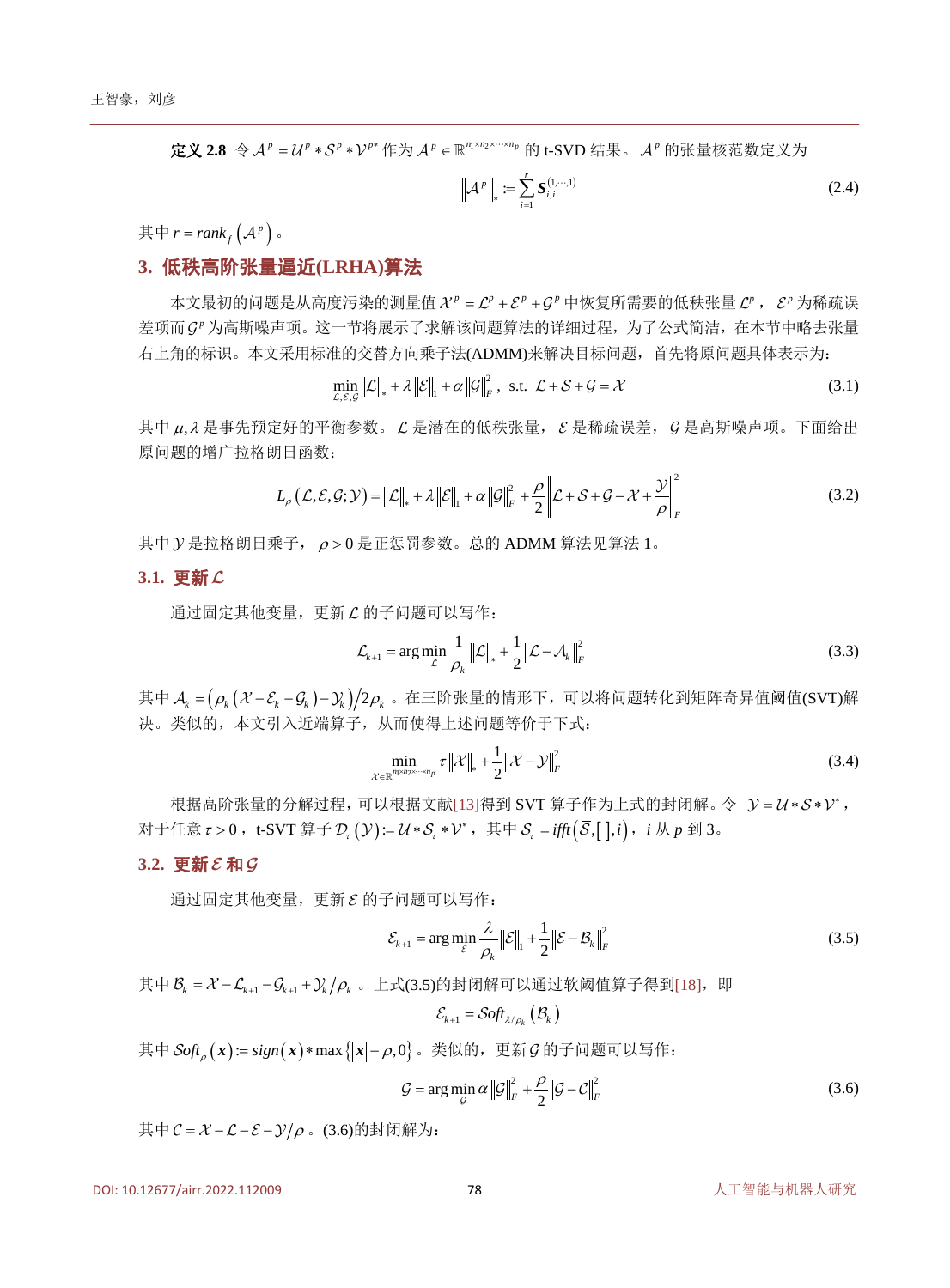定义 2.8 令  $A^p = U^p * S^p * V^{p*}$ 作为  $A^p \in \mathbb{R}^{n_1 \times n_2 \times \cdots \times n_p}$  的 t-SVD 结果。  $A^p$  的张量核范数定义为

$$
\left\| \mathcal{A}^{\,p} \right\|_{*} := \sum_{i=1}^{r} \mathcal{S}^{(1,\cdots,1)}_{i,i} \tag{2.4}
$$

其中  $r = rank_f(A^p)$ 。

# **3.** 低秩高阶张量逼近**(LRHA)**算法

本文最初的问题是从高度污染的测量值  $X^p = C^p + C^p$  中恢复所需要的低秩张量  $C^p$ ,  $\varepsilon^p$  为稀疏误 差项而 g<sup>p</sup> 为高斯噪声项。这一节将展示了求解该问题算法的详细过程,为了公式简洁, 在本节中略去张量 右上角的标识。本文采用标准的交替方向乘子法(ADMM)来解决目标问题,首先将原问题具体表示为:

$$
\min_{\mathcal{L}, \mathcal{E}, \mathcal{G}} \|\mathcal{L}\|_{*} + \lambda \|\mathcal{E}\|_{1} + \alpha \|\mathcal{G}\|_{F}^{2}, \text{ s.t. } \mathcal{L} + \mathcal{S} + \mathcal{G} = \mathcal{X}
$$
\n(3.1)

其中 <sup>µ</sup> <sup>λ</sup>, 是事先预定好的平衡参数。 是潜在的低秩张量, 是稀疏误差, 是高斯噪声项。下面给出 原问题的增广拉格朗日函数:

$$
L_{\rho}(\mathcal{L}, \mathcal{E}, \mathcal{G}; \mathcal{Y}) = \|\mathcal{L}\|_{*} + \lambda \|\mathcal{E}\|_{1} + \alpha \|\mathcal{G}\|_{F}^{2} + \frac{\rho}{2} \left\|\mathcal{L} + \mathcal{S} + \mathcal{G} - \mathcal{X} + \frac{\mathcal{Y}}{\rho}\right\|_{F}^{2}
$$
(3.2)

其中  $y$  是拉格朗日乘子,  $\rho > 0$  是正惩罚参数。总的 ADMM 算法见算法 1。

#### **3.1.** 更新

通过固定其他变量,更新 C 的子问题可以写作:

$$
\mathcal{L}_{k+1} = \arg \min_{\mathcal{L}} \frac{1}{\rho_k} ||\mathcal{L}||_* + \frac{1}{2} ||\mathcal{L} - \mathcal{A}_k||_F^2
$$
\n(3.3)

其中  $A_k = (\rho_k (X - S_k - S_k) - Y_k)/2 \rho_k$ 。在三阶张量的情形下,可以将问题转化到矩阵奇异值阈值(SVT)解 决。类似的,本文引入近端算子,从而使得上述问题等价于下式:

$$
\min_{\mathcal{X} \in \mathbb{R}^{n_1 \times n_2 \times \cdots \times n_p}} \tau \| \mathcal{X} \|_{*} + \frac{1}{2} \| \mathcal{X} - \mathcal{Y} \|_{F}^{2}
$$
\n(3.4)

根据高阶张量的分解过程,可以根据文献[\[13\]](#page-10-10)得到 SVT 算子作为上式的封闭解。令  $y = u * s * v^*$ , 对于任意τ>0,t-SVT 算子 D<sub>τ</sub> ( ):= U \* S<sub>τ</sub> \* V\*,其中 S<sub>τ</sub> = ifft (  $\bar{\mathcal{S}}$  , [ ], i ),i 从 p 到 3。

# $3.2.$ 更新 $\mathcal{E}$ 和 $\mathcal{G}$

通过固定其他变量,更新  $\varepsilon$  的子问题可以写作:

$$
\mathcal{E}_{k+1} = \arg\min_{\mathcal{E}} \frac{\lambda}{\rho_k} \|\mathcal{E}\|_1 + \frac{1}{2} \|\mathcal{E} - \mathcal{B}_k\|_F^2
$$
\n(3.5)

其中  $\mathcal{B}_k = \mathcal{X} - \mathcal{L}_{k+1} - \mathcal{G}_{k+1} + \mathcal{Y}_k / \rho_k$ 。上式(3.5)的封闭解可以通过软阈值算子得到[\[18\]](#page-10-15), 即

$$
\mathcal{E}_{k+1} = \mathcal{S} \circ f \mathcal{t}_{\lambda/\rho_k} \left( \mathcal{B}_{k} \right)
$$

其中  $Soft_0(x) := sign(x) * max{ |x| − ρ, 0}$ 。类似的, 更新  $G$  的子问题可以写作:

$$
\mathcal{G} = \arg\min_{\mathcal{G}} \alpha \left\| \mathcal{G} \right\|_{F}^{2} + \frac{\rho}{2} \left\| \mathcal{G} - \mathcal{C} \right\|_{F}^{2}
$$
\n(3.6)

其中  $C = X - C - E - \frac{y}{\rho}$ 。(3.6)的封闭解为: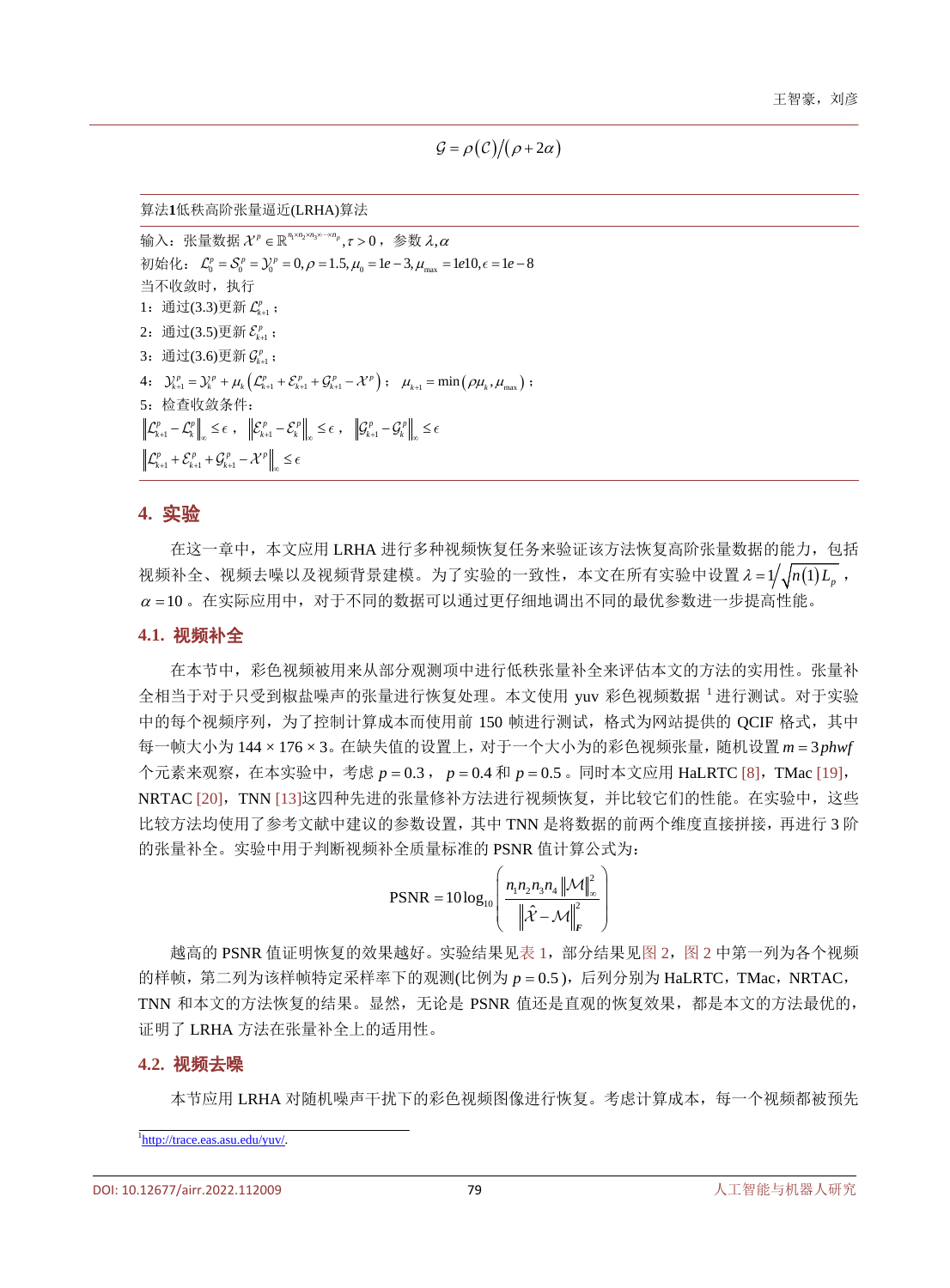$\mathcal{G} = \rho(\mathcal{C})/(\rho + 2\alpha)$ 

算法**1**低秩高阶张量逼近(LRHA)算法

输入: 张量数据  $X^p$  ∈ ℝ<sup>ηγηγηγ</sup>η κ ν ο , 参数 λ.α 初始化:  $\mathcal{L}_0^p = \mathcal{S}_0^p = \mathcal{Y}_0^p = 0, \rho = 1.5, \mu_0 = 1e - 3, \mu_{max} = 1e10, \epsilon = 1e - 8$ 当不收敛时, 执行 1: 通过(3.3)更新  $\mathcal{L}_{k+1}^p$  ; 2: 通过(3.5)更新 $\mathcal{E}^p_{k+\!1}$ ; 3: 通过(3.6)更新 $\mathcal{G}_{k+1}^p$  ; 4:  $\mathcal{Y}_{k+1}^p = \mathcal{Y}_k^p + \mu_k \left( \mathcal{L}_{k+1}^p + \mathcal{E}_{k+1}^p + \mathcal{G}_{k+1}^p - \mathcal{X}^p \right)$ ;  $\mu_{k+1} = \min \left( \rho \mu_k, \mu_{\max} \right)$ ; 5:检查收敛条件:  $\mathcal{L}_{k+1}^p - \mathcal{L}_k^p \Big\|_{\infty} \leq \epsilon$ ,  $\Big\| \mathcal{E}_{k+1}^p - \mathcal{E}_k^p \Big\|_{\infty} \leq \epsilon$ ,  $\Big\| \mathcal{G}_{k+1}^p - \mathcal{G}_k^p \Big\|_{\infty} \leq \epsilon$  $\mathcal{L}_{k+1}^p + \mathcal{E}_{k+1}^p + \mathcal{G}_{k+1}^p - \mathcal{X}^p\Big|_{\infty} \leq \epsilon$ 

#### **4.** 实验

在这一章中,本文应用 LRHA 进行多种视频恢复任务来验证该方法恢复高阶张量数据的能力,包括 视频补全、视频去噪以及视频背景建模。为了实验的一致性,本文在所有实验中设置 λ = 1/<sub>3</sub>/n(1) L<sub>a</sub>,  $\alpha = 10$ 。在实际应用中,对于不同的数据可以通过更仔细地调出不同的最优参数进一步提高性能。

#### **4.1.** 视频补全

在本节中,彩色视频被用来从部分观测项中进行低秩张量补全来评估本文的方法的实用性。张量补 全相当于对于只受到椒盐噪声的张量进行恢复处理。本文使用 yuv 彩色视频数据 <sup>1</sup> 进行测试。对于实验 中的每个视频序列,为了控制计算成本而使用前 150 帧进行测试,格式为网站提供的 QCIF 格式, 其中 每一帧大小为 144 × 176 × 3。在缺失值的设置上, 对于一个大小为的彩色视频张量, 随机设置 m = 3 phwf 个元素来观察,在本实验中,考虑  $p = 0.3$ ,  $p = 0.4$  和  $p = 0.5$  。同时本文应用 HaLRTC [\[8\]](#page-10-5), TMac [\[19\]](#page-10-16), NRTAC [\[20\]](#page-10-17), TNN [\[13\]](#page-10-10)这四种先进的张量修补方法进行视频恢复, 并比较它们的性能。在实验中, 这些 比较方法均使用了参考文献中建议的参数设置,其中 TNN 是将数据的前两个维度直接拼接,再进行 3 阶 的张量补全。实验中用于判断视频补全质量标准的 PSNR 值计算公式为:

$$
\text{PSNR} = 10\log_{10}\left(\frac{n_1 n_2 n_3 n_4 \left\|\mathcal{M}\right\|_{\infty}^2}{\left\|\hat{\mathcal{X}} - \mathcal{M}\right\|_F^2}\right)
$$

越高的 PSNR 值证明恢复的效果越好。实验结果[见表](#page-7-0) 1,部分结果[见图](#page-7-1) 2, 图 2 中第一列为各个视频 的样帧,第二列为该样帧特定采样率下的观测(比例为 p = 0.5), 后列分别为 HaLRTC, TMac, NRTAC, TNN 和本文的方法恢复的结果。显然,无论是 PSNR 值还是直观的恢复效果,都是本文的方法最优的, 证明了 LRHA 方法在张量补全上的适用性。

#### **4.2.** 视频去噪

本节应用 LRHA 对随机噪声干扰下的彩色视频图像进行恢复。考虑计算成本,每一个视频都被预先

<sup>1</sup> [http://trace.eas.asu.edu/yuv/.](http://trace.eas.asu.edu/yuv/)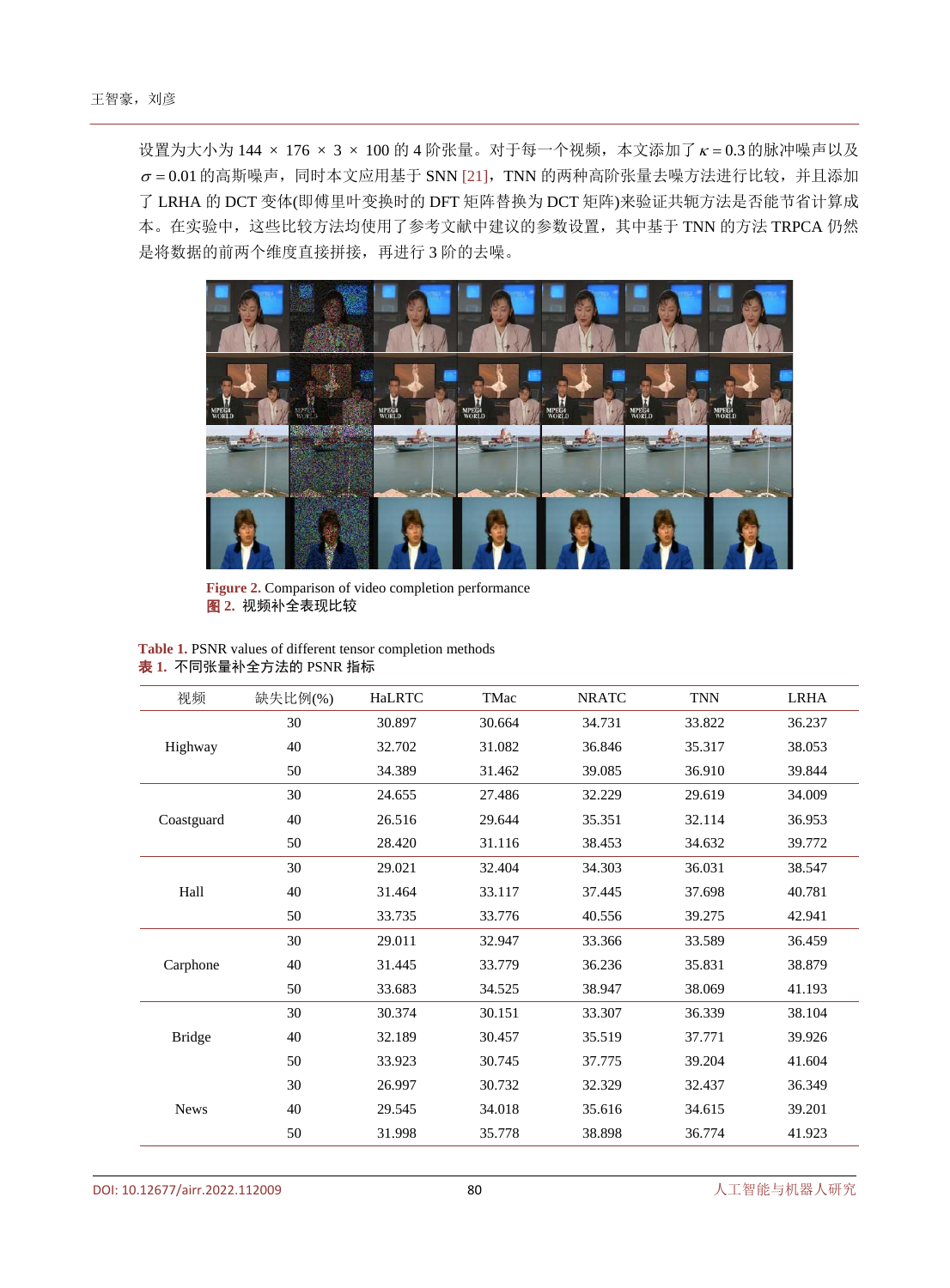设置为大小为 144 × 176 × 3 × 100 的 4 阶张量。对于每一个视频,本文添加了<sup>κ</sup> = 0.3的脉冲噪声以及  $\sigma$  = 0.01 的高斯噪声, 同时本文应用基于 SNN [\[21\]](#page-10-18), TNN 的两种高阶张量去噪方法进行比较, 并且添加 了 LRHA 的 DCT 变体(即傅里叶变换时的 DFT 矩阵替换为 DCT 矩阵)来验证共轭方法是否能节省计算成 本。在实验中,这些比较方法均使用了参考文献中建议的参数设置,其中基于 TNN 的方法 TRPCA 仍然 是将数据的前两个维度直接拼接,再进行 3 阶的去噪。

<span id="page-7-1"></span>

**Figure 2.** Comparison of video completion performance 图 **2.** 视频补全表现比较

<span id="page-7-0"></span>**Table 1.** PSNR values of different tensor completion methods 表 **1.** 不同张量补全方法的 PSNR 指标

| 视频            | 缺失比例(%) | <b>HaLRTC</b> | TMac   | <b>NRATC</b> | <b>TNN</b> | <b>LRHA</b> |
|---------------|---------|---------------|--------|--------------|------------|-------------|
| Highway       | 30      | 30.897        | 30.664 | 34.731       | 33.822     | 36.237      |
|               | 40      | 32.702        | 31.082 | 36.846       | 35.317     | 38.053      |
|               | 50      | 34.389        | 31.462 | 39.085       | 36.910     | 39.844      |
| Coastguard    | 30      | 24.655        | 27.486 | 32.229       | 29.619     | 34.009      |
|               | 40      | 26.516        | 29.644 | 35.351       | 32.114     | 36.953      |
|               | 50      | 28.420        | 31.116 | 38.453       | 34.632     | 39.772      |
| Hall          | 30      | 29.021        | 32.404 | 34.303       | 36.031     | 38.547      |
|               | 40      | 31.464        | 33.117 | 37.445       | 37.698     | 40.781      |
|               | 50      | 33.735        | 33.776 | 40.556       | 39.275     | 42.941      |
| Carphone      | 30      | 29.011        | 32.947 | 33.366       | 33.589     | 36.459      |
|               | 40      | 31.445        | 33.779 | 36.236       | 35.831     | 38.879      |
|               | 50      | 33.683        | 34.525 | 38.947       | 38.069     | 41.193      |
| <b>Bridge</b> | 30      | 30.374        | 30.151 | 33.307       | 36.339     | 38.104      |
|               | 40      | 32.189        | 30.457 | 35.519       | 37.771     | 39.926      |
|               | 50      | 33.923        | 30.745 | 37.775       | 39.204     | 41.604      |
| <b>News</b>   | 30      | 26.997        | 30.732 | 32.329       | 32.437     | 36.349      |
|               | 40      | 29.545        | 34.018 | 35.616       | 34.615     | 39.201      |
|               | 50      | 31.998        | 35.778 | 38.898       | 36.774     | 41.923      |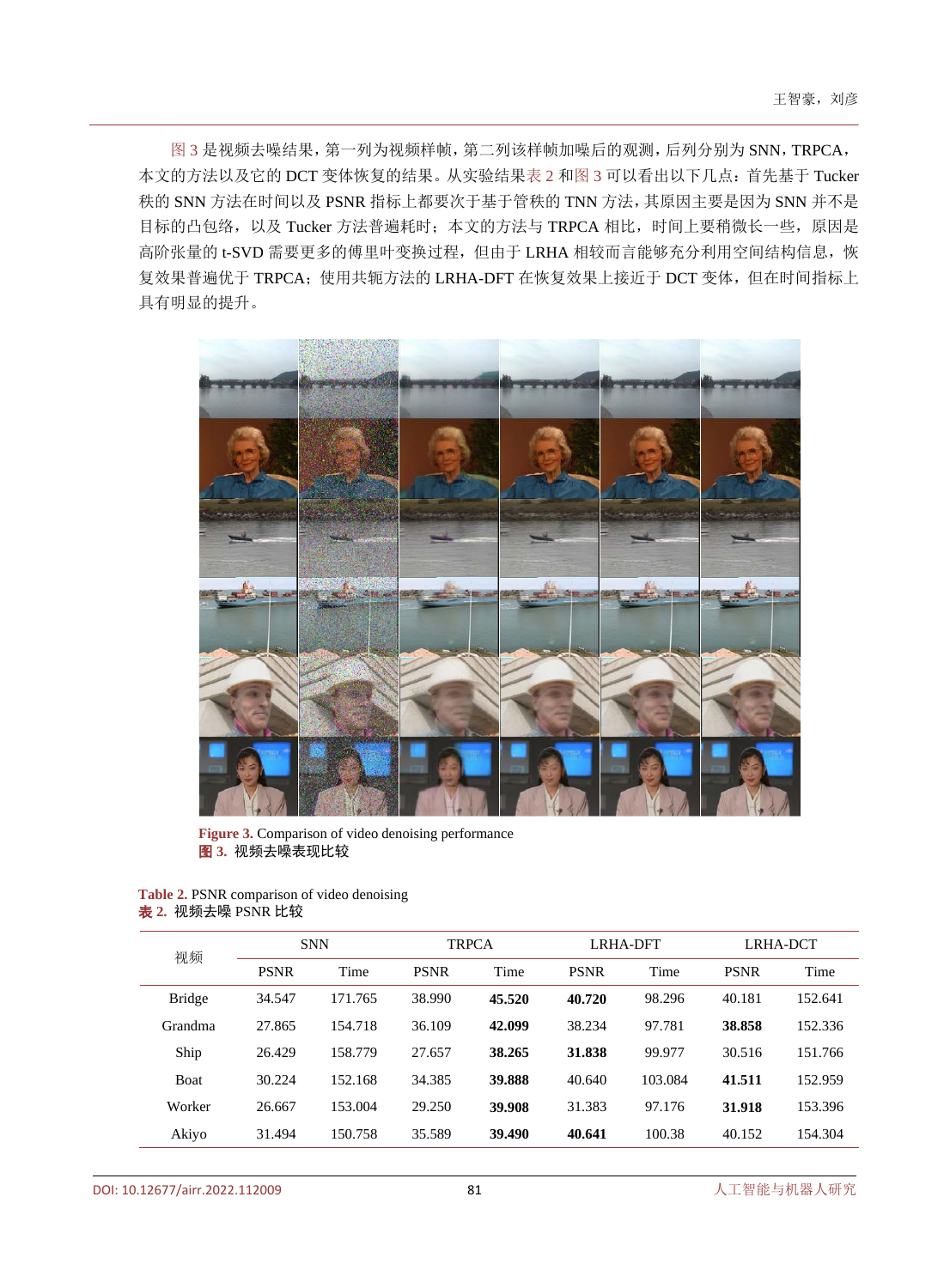[图](#page-8-0) 3 是视频去噪结果,第一列为视频样帧,第二列该样帧加噪后的观测,后列分别为 SNN,TRPCA, 本文的方法以及它的 DCT 变体恢复的结果。从实验结[果表](#page-8-1) 2 [和图](#page-8-0) 3 可以看出以下几点:首先基于 Tucker 秩的 SNN 方法在时间以及 PSNR 指标上都要次于基于管秩的 TNN 方法,其原因主要是因为 SNN 并不是 目标的凸包络,以及 Tucker 方法普遍耗时;本文的方法与 TRPCA 相比,时间上要稍微长一些, 原因是 高阶张量的 t-SVD 需要更多的傅里叶变换过程,但由于 LRHA 相较而言能够充分利用空间结构信息,恢 复效果普遍优于 TRPCA;使用共轭方法的 LRHA-DFT 在恢复效果上接近于 DCT 变体,但在时间指标上 具有明显的提升。

<span id="page-8-0"></span>

Figure 3. Comparison of video denoising performance 图 **3.** 视频去噪表现比较

<span id="page-8-1"></span>

| <b>Table 2. PSNR</b> comparison of video denoising |  |
|----------------------------------------------------|--|
| <b>表 2.</b> 视频去噪 PSNR 比较                           |  |

| 视频            | <b>SNN</b>  |         | <b>TRPCA</b> |        | LRHA-DFT    |         | LRHA-DCT    |         |
|---------------|-------------|---------|--------------|--------|-------------|---------|-------------|---------|
|               | <b>PSNR</b> | Time    | <b>PSNR</b>  | Time   | <b>PSNR</b> | Time    | <b>PSNR</b> | Time    |
| <b>Bridge</b> | 34.547      | 171.765 | 38.990       | 45.520 | 40.720      | 98.296  | 40.181      | 152.641 |
| Grandma       | 27.865      | 154.718 | 36.109       | 42.099 | 38.234      | 97.781  | 38.858      | 152.336 |
| Ship          | 26.429      | 158.779 | 27.657       | 38.265 | 31.838      | 99.977  | 30.516      | 151.766 |
| <b>Boat</b>   | 30.224      | 152.168 | 34.385       | 39.888 | 40.640      | 103.084 | 41.511      | 152.959 |
| Worker        | 26.667      | 153.004 | 29.250       | 39.908 | 31.383      | 97.176  | 31.918      | 153.396 |
| Akiyo         | 31.494      | 150.758 | 35.589       | 39.490 | 40.641      | 100.38  | 40.152      | 154.304 |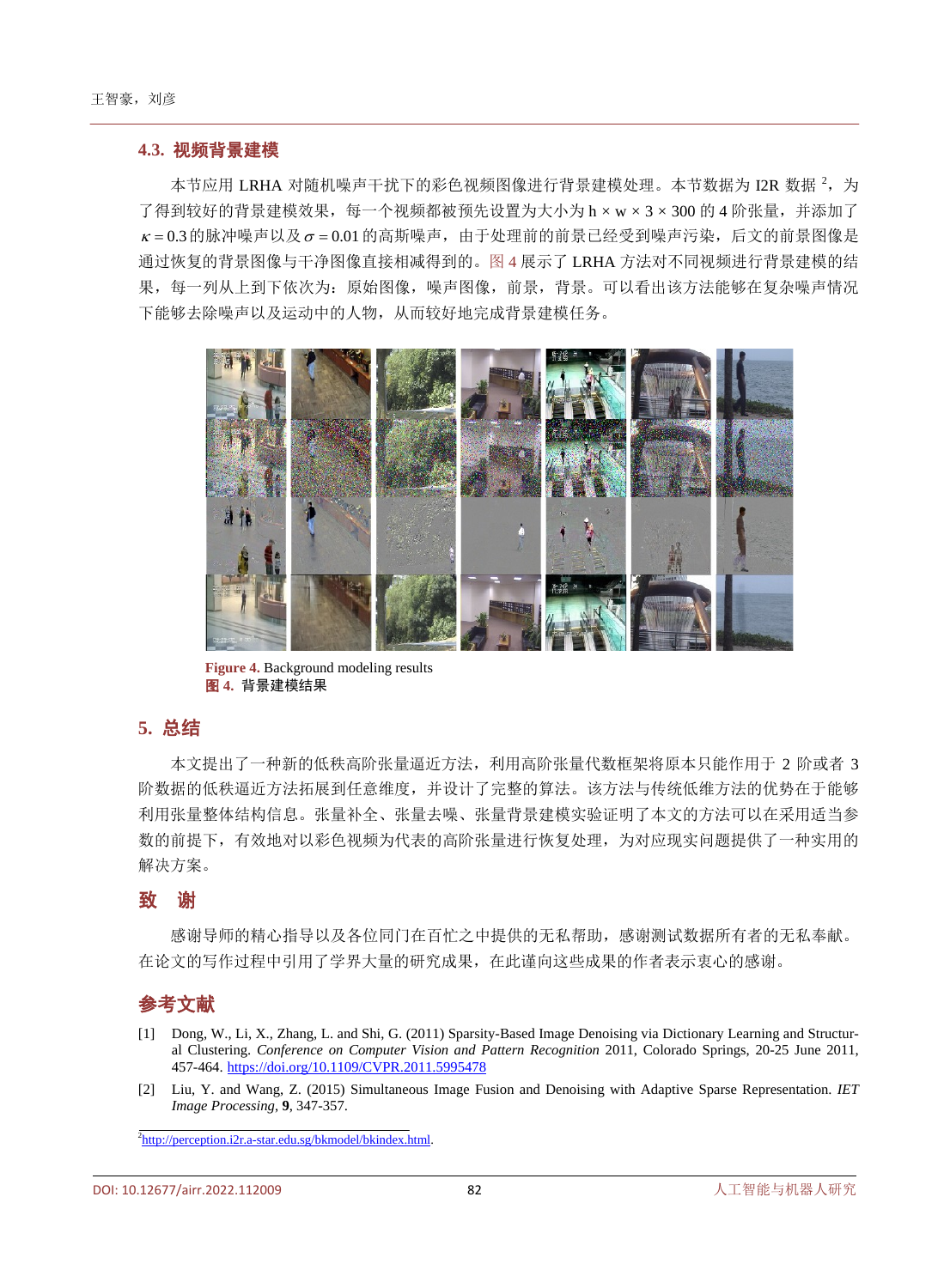#### **4.3.** 视频背景建模

本节应用 LRHA 对随机噪声干扰下的彩色视频图像进行背景建模处理。本节数据为 I2R 数据 <sup>2</sup>,为 了得到较好的背景建模效果,每一个视频都被预先设置为大小为 h × w × 3 × 300 的 4 阶张量,并添加了  $\kappa$  = 0.3 的脉冲噪声以及  $\sigma$  = 0.01 的高斯噪声, 由于处理前的前景已经受到噪声污染, 后文的前景图像是 通过恢复的背景图像与干净图像直接相减得到的[。图](#page-9-2) 4 展示了 LRHA 方法对不同视频进行背景建模的结 果,每一列从上到下依次为:原始图像,噪声图像,前景,背景。可以看出该方法能够在复杂噪声情况 下能够去除噪声以及运动中的人物,从而较好地完成背景建模任务。

<span id="page-9-2"></span>

**Figure 4.** Background modeling results 图 **4.** 背景建模结果

# **5.** 总结

本文提出了一种新的低秩高阶张量逼近方法,利用高阶张量代数框架将原本只能作用于 2 阶或者 3 阶数据的低秩逼近方法拓展到任意维度,并设计了完整的算法。该方法与传统低维方法的优势在于能够 利用张量整体结构信息。张量补全、张量去噪、张量背景建模实验证明了本文的方法可以在采用适当参 数的前提下,有效地对以彩色视频为代表的高阶张量进行恢复处理,为对应现实问题提供了一种实用的 解决方案。

## 致谢

感谢导师的精心指导以及各位同门在百忙之中提供的无私帮助,感谢测试数据所有者的无私奉献。 在论文的写作过程中引用了学界大量的研究成果,在此谨向这些成果的作者表示衷心的感谢。

# 参考文献

- <span id="page-9-0"></span>[1] Dong, W., Li, X., Zhang, L. and Shi, G. (2011) Sparsity-Based Image Denoising via Dictionary Learning and Structural Clustering. *Conference on Computer Vision and Pattern Recognition* 2011, Colorado Springs, 20-25 June 2011, 457-464. <https://doi.org/10.1109/CVPR.2011.5995478>
- <span id="page-9-1"></span>[2] Liu, Y. and Wang, Z. (2015) Simultaneous Image Fusion and Denoising with Adaptive Sparse Representation. *IET Image Processing*, **9**, 347-357.

<sup>2</sup>[http://perception.i2r.a-star.edu.sg/bkmodel/bkindex.html.](http://perception.i2r.astar.edu.sg/bkmodel/bkindex.html)